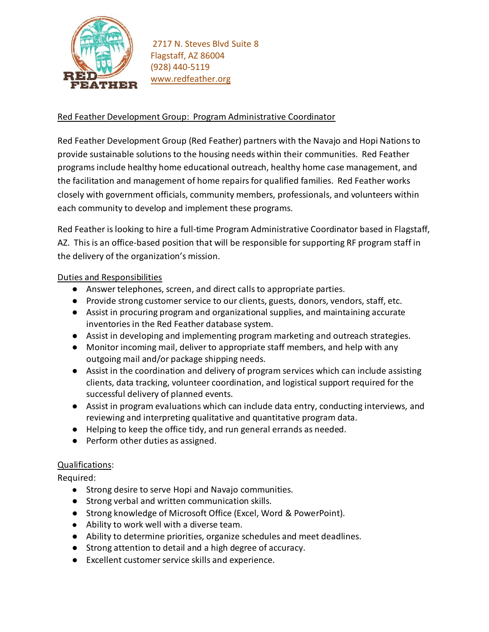

## Red Feather Development Group: Program Administrative Coordinator

Red Feather Development Group (Red Feather) partners with the Navajo and Hopi Nations to provide sustainable solutions to the housing needs within their communities. Red Feather programs include healthy home educational outreach, healthy home case management, and the facilitation and management of home repairs for qualified families. Red Feather works closely with government officials, community members, professionals, and volunteers within each community to develop and implement these programs.

Red Feather is looking to hire a full-time Program Administrative Coordinator based in Flagstaff, AZ. This is an office-based position that will be responsible for supporting RF program staff in the delivery of the organization's mission.

## Duties and Responsibilities

- Answer telephones, screen, and direct callsto appropriate parties.
- Provide strong customer service to our clients, guests, donors, vendors, staff, etc.
- Assist in procuring program and organizational supplies, and maintaining accurate inventories in the Red Feather database system.
- Assist in developing and implementing program marketing and outreach strategies.
- Monitor incoming mail, deliver to appropriate staff members, and help with any outgoing mail and/or package shipping needs.
- Assist in the coordination and delivery of program services which can include assisting clients, data tracking, volunteer coordination, and logistical support required for the successful delivery of planned events.
- Assist in program evaluations which can include data entry, conducting interviews, and reviewing and interpreting qualitative and quantitative program data.
- Helping to keep the office tidy, and run general errands as needed.
- Perform other duties as assigned.

## Qualifications:

Required:

- Strong desire to serve Hopi and Navajo communities.
- Strong verbal and written communication skills.
- Strong knowledge of Microsoft Office (Excel, Word & PowerPoint).
- Ability to work well with a diverse team.
- Ability to determine priorities, organize schedules and meet deadlines.
- Strong attention to detail and a high degree of accuracy.
- Excellent customer service skills and experience.